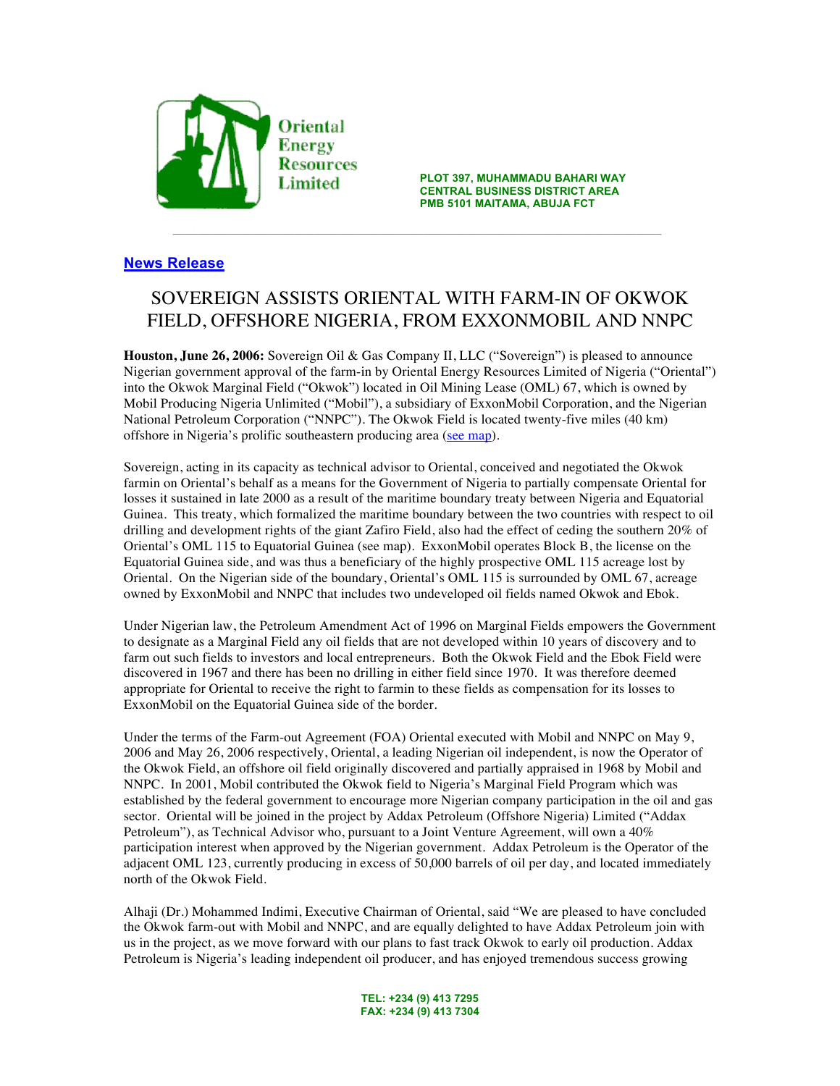

**PLOT 397, MUHAMMADU BAHARI WAY Example 1 Limited CENTRAL BUSINESS DISTRICT AREA**<br>CENTRAL BUSINESS DISTRICT AREA **PMB 5101 MAITAMA, ABUJA FCT**

## **News Release**

## SOVEREIGN ASSISTS ORIENTAL WITH FARM-IN OF OKWOK FIELD, OFFSHORE NIGERIA, FROM EXXONMOBIL AND NNPC

 $\_$  ,  $\mathcal{I}_1$  ,  $\mathcal{I}_2$  ,  $\mathcal{I}_3$  ,  $\mathcal{I}_4$  ,  $\mathcal{I}_5$  ,  $\mathcal{I}_6$  ,  $\mathcal{I}_7$  ,  $\mathcal{I}_8$  ,  $\mathcal{I}_9$  ,  $\mathcal{I}_9$  ,  $\mathcal{I}_9$  ,  $\mathcal{I}_9$  ,  $\mathcal{I}_9$  ,  $\mathcal{I}_9$  ,  $\mathcal{I}_9$  ,  $\mathcal{I}_9$  ,  $\mathcal{I}_9$  ,  $\mathcal{I}_9$  ,

**Houston, June 26, 2006:** Sovereign Oil & Gas Company II, LLC ("Sovereign") is pleased to announce Nigerian government approval of the farm-in by Oriental Energy Resources Limited of Nigeria ("Oriental") into the Okwok Marginal Field ("Okwok") located in Oil Mining Lease (OML) 67, which is owned by Mobil Producing Nigeria Unlimited ("Mobil"), a subsidiary of ExxonMobil Corporation, and the Nigerian National Petroleum Corporation ("NNPC"). The Okwok Field is located twenty-five miles (40 km) offshore in Nigeria's prolific southeastern producing area (see map).

Sovereign, acting in its capacity as technical advisor to Oriental, conceived and negotiated the Okwok farmin on Oriental's behalf as a means for the Government of Nigeria to partially compensate Oriental for losses it sustained in late 2000 as a result of the maritime boundary treaty between Nigeria and Equatorial Guinea. This treaty, which formalized the maritime boundary between the two countries with respect to oil drilling and development rights of the giant Zafiro Field, also had the effect of ceding the southern 20% of Oriental's OML 115 to Equatorial Guinea (see map). ExxonMobil operates Block B, the license on the Equatorial Guinea side, and was thus a beneficiary of the highly prospective OML 115 acreage lost by Oriental. On the Nigerian side of the boundary, Oriental's OML 115 is surrounded by OML 67, acreage owned by ExxonMobil and NNPC that includes two undeveloped oil fields named Okwok and Ebok.

Under Nigerian law, the Petroleum Amendment Act of 1996 on Marginal Fields empowers the Government to designate as a Marginal Field any oil fields that are not developed within 10 years of discovery and to farm out such fields to investors and local entrepreneurs. Both the Okwok Field and the Ebok Field were discovered in 1967 and there has been no drilling in either field since 1970. It was therefore deemed appropriate for Oriental to receive the right to farmin to these fields as compensation for its losses to ExxonMobil on the Equatorial Guinea side of the border.

Under the terms of the Farm-out Agreement (FOA) Oriental executed with Mobil and NNPC on May 9, 2006 and May 26, 2006 respectively, Oriental, a leading Nigerian oil independent, is now the Operator of the Okwok Field, an offshore oil field originally discovered and partially appraised in 1968 by Mobil and NNPC. In 2001, Mobil contributed the Okwok field to Nigeria's Marginal Field Program which was established by the federal government to encourage more Nigerian company participation in the oil and gas sector. Oriental will be joined in the project by Addax Petroleum (Offshore Nigeria) Limited ("Addax Petroleum"), as Technical Advisor who, pursuant to a Joint Venture Agreement, will own a 40% participation interest when approved by the Nigerian government. Addax Petroleum is the Operator of the adjacent OML 123, currently producing in excess of 50,000 barrels of oil per day, and located immediately north of the Okwok Field.

Alhaji (Dr.) Mohammed Indimi, Executive Chairman of Oriental, said "We are pleased to have concluded the Okwok farm-out with Mobil and NNPC, and are equally delighted to have Addax Petroleum join with us in the project, as we move forward with our plans to fast track Okwok to early oil production. Addax Petroleum is Nigeria's leading independent oil producer, and has enjoyed tremendous success growing

> **TEL: +234 (9) 413 7295 FAX: +234 (9) 413 7304**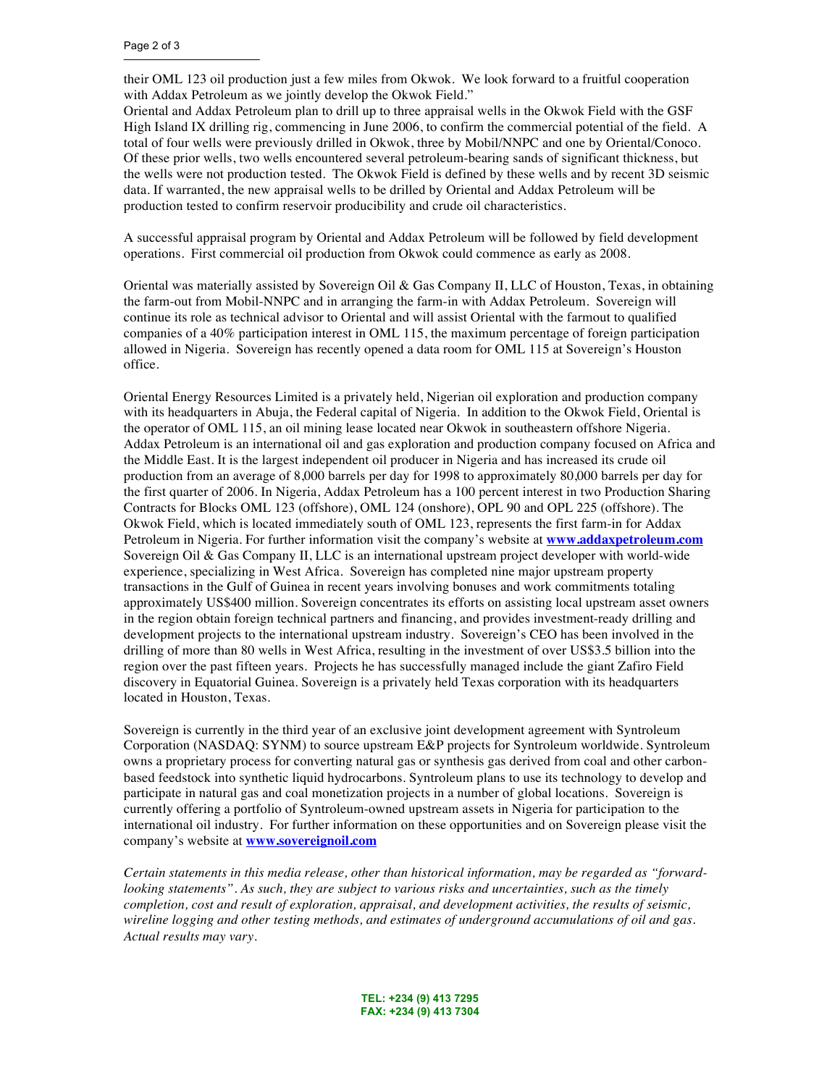their OML 123 oil production just a few miles from Okwok. We look forward to a fruitful cooperation with Addax Petroleum as we jointly develop the Okwok Field."

Oriental and Addax Petroleum plan to drill up to three appraisal wells in the Okwok Field with the GSF High Island IX drilling rig, commencing in June 2006, to confirm the commercial potential of the field. A total of four wells were previously drilled in Okwok, three by Mobil/NNPC and one by Oriental/Conoco. Of these prior wells, two wells encountered several petroleum-bearing sands of significant thickness, but the wells were not production tested. The Okwok Field is defined by these wells and by recent 3D seismic data. If warranted, the new appraisal wells to be drilled by Oriental and Addax Petroleum will be production tested to confirm reservoir producibility and crude oil characteristics.

A successful appraisal program by Oriental and Addax Petroleum will be followed by field development operations. First commercial oil production from Okwok could commence as early as 2008.

Oriental was materially assisted by Sovereign Oil & Gas Company II, LLC of Houston, Texas, in obtaining the farm-out from Mobil-NNPC and in arranging the farm-in with Addax Petroleum. Sovereign will continue its role as technical advisor to Oriental and will assist Oriental with the farmout to qualified companies of a 40% participation interest in OML 115, the maximum percentage of foreign participation allowed in Nigeria. Sovereign has recently opened a data room for OML 115 at Sovereign's Houston office.

Oriental Energy Resources Limited is a privately held, Nigerian oil exploration and production company with its headquarters in Abuja, the Federal capital of Nigeria. In addition to the Okwok Field, Oriental is the operator of OML 115, an oil mining lease located near Okwok in southeastern offshore Nigeria. Addax Petroleum is an international oil and gas exploration and production company focused on Africa and the Middle East. It is the largest independent oil producer in Nigeria and has increased its crude oil production from an average of 8,000 barrels per day for 1998 to approximately 80,000 barrels per day for the first quarter of 2006. In Nigeria, Addax Petroleum has a 100 percent interest in two Production Sharing Contracts for Blocks OML 123 (offshore), OML 124 (onshore), OPL 90 and OPL 225 (offshore). The Okwok Field, which is located immediately south of OML 123, represents the first farm-in for Addax Petroleum in Nigeria. For further information visit the company's website at **www.addaxpetroleum.com** Sovereign Oil & Gas Company II, LLC is an international upstream project developer with world-wide experience, specializing in West Africa. Sovereign has completed nine major upstream property transactions in the Gulf of Guinea in recent years involving bonuses and work commitments totaling approximately US\$400 million. Sovereign concentrates its efforts on assisting local upstream asset owners in the region obtain foreign technical partners and financing, and provides investment-ready drilling and development projects to the international upstream industry. Sovereign's CEO has been involved in the drilling of more than 80 wells in West Africa, resulting in the investment of over US\$3.5 billion into the region over the past fifteen years. Projects he has successfully managed include the giant Zafiro Field discovery in Equatorial Guinea. Sovereign is a privately held Texas corporation with its headquarters located in Houston, Texas.

Sovereign is currently in the third year of an exclusive joint development agreement with Syntroleum Corporation (NASDAQ: SYNM) to source upstream E&P projects for Syntroleum worldwide. Syntroleum owns a proprietary process for converting natural gas or synthesis gas derived from coal and other carbonbased feedstock into synthetic liquid hydrocarbons. Syntroleum plans to use its technology to develop and participate in natural gas and coal monetization projects in a number of global locations. Sovereign is currently offering a portfolio of Syntroleum-owned upstream assets in Nigeria for participation to the international oil industry. For further information on these opportunities and on Sovereign please visit the company's website at **www.sovereignoil.com**

*Certain statements in this media release, other than historical information, may be regarded as "forwardlooking statements". As such, they are subject to various risks and uncertainties, such as the timely completion, cost and result of exploration, appraisal, and development activities, the results of seismic, wireline logging and other testing methods, and estimates of underground accumulations of oil and gas. Actual results may vary*.